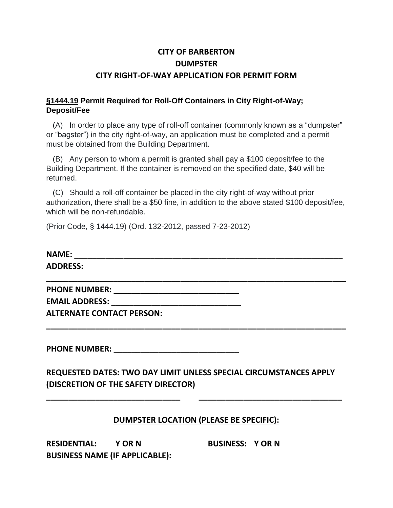## **CITY OF BARBERTON DUMPSTER CITY RIGHT-OF-WAY APPLICATION FOR PERMIT FORM**

## **§1444.19 Permit Required for Roll-Off Containers in City Right-of-Way; Deposit/Fee**

 (A) In order to place any type of roll-off container (commonly known as a "dumpster" or "bagster") in the city right-of-way, an application must be completed and a permit must be obtained from the Building Department.

 (B) Any person to whom a permit is granted shall pay a \$100 deposit/fee to the Building Department. If the container is removed on the specified date, \$40 will be returned.

 (C) Should a roll-off container be placed in the city right-of-way without prior authorization, there shall be a \$50 fine, in addition to the above stated \$100 deposit/fee, which will be non-refundable.

(Prior Code, § 1444.19) (Ord. 132-2012, passed 7-23-2012)

| <b>NAME:</b>    |  |  |
|-----------------|--|--|
| <b>ADDRESS:</b> |  |  |

**\_\_\_\_\_\_\_\_\_\_\_\_\_\_\_\_\_\_\_\_\_\_\_\_\_\_\_\_\_\_\_\_\_\_\_\_\_\_\_\_\_\_\_\_\_\_\_\_\_\_\_\_\_\_\_\_\_\_\_\_\_\_\_\_\_\_\_**

**\_\_\_\_\_\_\_\_\_\_\_\_\_\_\_\_\_\_\_\_\_\_\_\_\_\_\_\_\_\_\_\_\_\_\_\_\_\_\_\_\_\_\_\_\_\_\_\_\_\_\_\_\_\_\_\_\_\_\_\_\_\_\_\_\_\_\_**

**PHONE NUMBER: \_\_\_\_\_\_\_\_\_\_\_\_\_\_\_\_\_\_\_\_\_\_\_\_\_\_\_\_**

**EMAIL ADDRESS: \_\_\_\_\_\_\_\_\_\_\_\_\_\_\_\_\_\_\_\_\_\_\_\_\_\_\_\_\_**

**ALTERNATE CONTACT PERSON:**

PHONE NUMBER: **\_\_\_** 

**REQUESTED DATES: TWO DAY LIMIT UNLESS SPECIAL CIRCUMSTANCES APPLY (DISCRETION OF THE SAFETY DIRECTOR)**

**\_\_\_\_\_\_\_\_\_\_\_\_\_\_\_\_\_\_\_\_\_\_\_\_\_\_\_\_\_\_ \_\_\_\_\_\_\_\_\_\_\_\_\_\_\_\_\_\_\_\_\_\_\_\_\_\_\_\_\_\_\_\_**

## **DUMPSTER LOCATION (PLEASE BE SPECIFIC):**

**RESIDENTIAL: Y OR N BUSINESS: Y OR N BUSINESS NAME (IF APPLICABLE):**